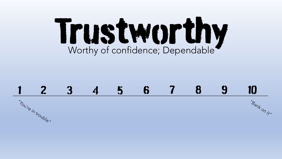## Trustworthy Worthy of confidence; Dependable

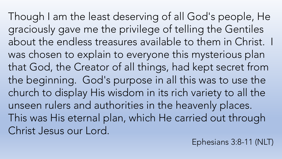Though I am the least deserving of all God's people, He graciously gave me the privilege of telling the Gentiles about the endless treasures available to them in Christ. I was chosen to explain to everyone this mysterious plan that God, the Creator of all things, had kept secret from the beginning. God's purpose in all this was to use the church to display His wisdom in its rich variety to all the unseen rulers and authorities in the heavenly places. This was His eternal plan, which He carried out through Christ Jesus our Lord.

Ephesians 3:8-11 (NLT)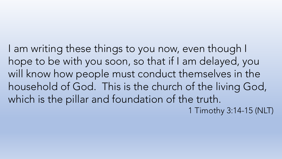I am writing these things to you now, even though I hope to be with you soon, so that if I am delayed, you will know how people must conduct themselves in the household of God. This is the church of the living God, which is the pillar and foundation of the truth. 1 Timothy 3:14-15 (NLT)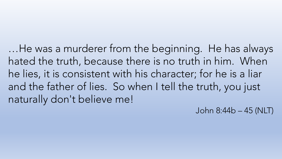…He was a murderer from the beginning. He has always hated the truth, because there is no truth in him. When he lies, it is consistent with his character; for he is a liar and the father of lies. So when I tell the truth, you just naturally don't believe me!

John 8:44b – 45 (NLT)